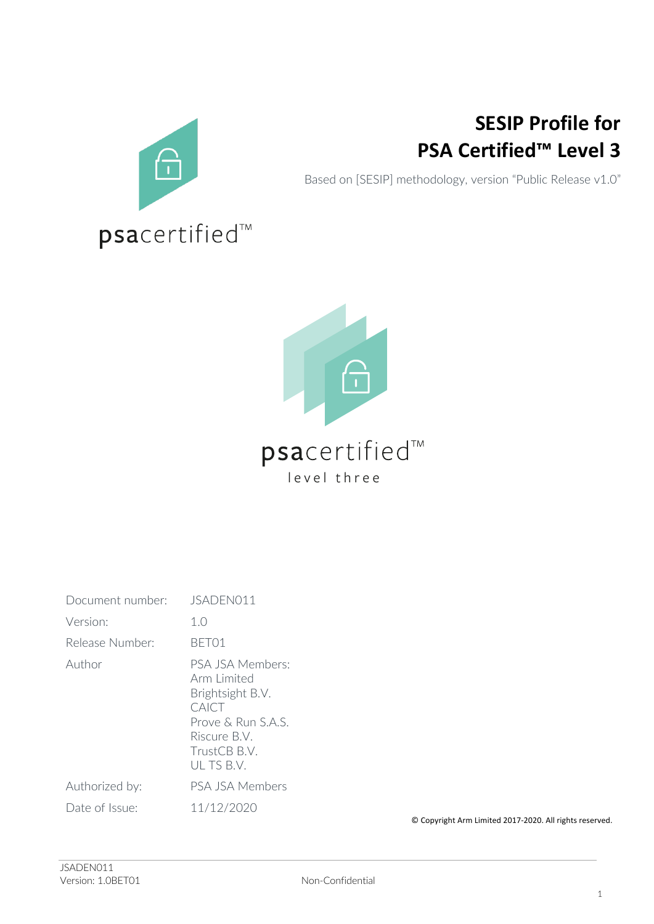

## **SESIP Profile for PSA Certified™ Level 3**

Based on [SESIP] methodology, version "Public Release v1.0"



## psacertified<sup>™</sup> level three

| Document number: | JSADEN011                                                                                                                       |
|------------------|---------------------------------------------------------------------------------------------------------------------------------|
| Version:         | 1.0                                                                                                                             |
| Release Number:  | BFT01                                                                                                                           |
| Author           | PSA JSA Members:<br>Arm Limited<br>Brightsight B.V.<br>CAICT<br>Prove & Run S.A.S.<br>Riscure B.V.<br>TrustCB B.V.<br>ULTS B.V. |
| Authorized by:   | PSA JSA Members                                                                                                                 |
| Date of Issue:   | 11/12/2020                                                                                                                      |

© Copyright Arm Limited 2017-2020. All rights reserved.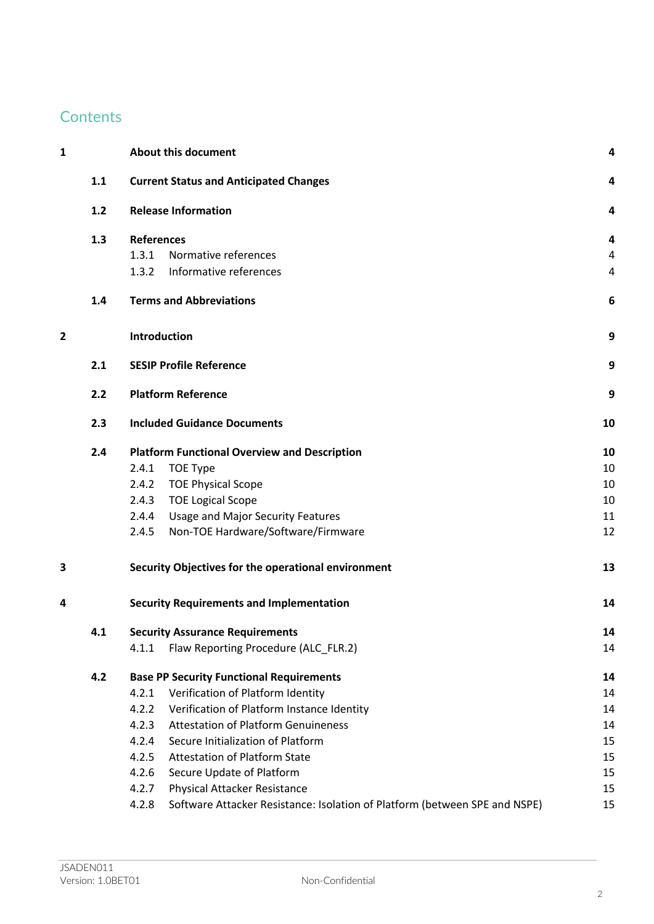## **Contents**

| 1              |       |                   | <b>About this document</b>                                                 | 4  |
|----------------|-------|-------------------|----------------------------------------------------------------------------|----|
|                | 1.1   |                   | <b>Current Status and Anticipated Changes</b>                              | 4  |
|                | $1.2$ |                   | <b>Release Information</b>                                                 | 4  |
|                | 1.3   | <b>References</b> |                                                                            | 4  |
|                |       | 1.3.1             | Normative references                                                       | 4  |
|                |       | 1.3.2             | Informative references                                                     | 4  |
|                | 1.4   |                   | <b>Terms and Abbreviations</b>                                             | 6  |
| $\overline{2}$ |       | Introduction      |                                                                            | 9  |
|                | 2.1   |                   | <b>SESIP Profile Reference</b>                                             | 9  |
|                | 2.2   |                   | <b>Platform Reference</b>                                                  | 9  |
|                | 2.3   |                   | <b>Included Guidance Documents</b>                                         | 10 |
|                | 2.4   |                   | <b>Platform Functional Overview and Description</b>                        | 10 |
|                |       | 2.4.1             | TOE Type                                                                   | 10 |
|                |       | 2.4.2             | <b>TOE Physical Scope</b>                                                  | 10 |
|                |       | 2.4.3             | <b>TOE Logical Scope</b>                                                   | 10 |
|                |       | 2.4.4             | <b>Usage and Major Security Features</b>                                   | 11 |
|                |       | 2.4.5             | Non-TOE Hardware/Software/Firmware                                         | 12 |
| 3              |       |                   | Security Objectives for the operational environment                        | 13 |
| 4              |       |                   | <b>Security Requirements and Implementation</b>                            | 14 |
|                | 4.1   |                   | <b>Security Assurance Requirements</b>                                     | 14 |
|                |       | 4.1.1             | Flaw Reporting Procedure (ALC_FLR.2)                                       | 14 |
|                | 4.2   |                   | <b>Base PP Security Functional Requirements</b>                            | 14 |
|                |       | 4.2.1             | Verification of Platform Identity                                          | 14 |
|                |       | 4.2.2             | Verification of Platform Instance Identity                                 | 14 |
|                |       | 4.2.3             | <b>Attestation of Platform Genuineness</b>                                 | 14 |
|                |       | 4.2.4             | Secure Initialization of Platform                                          | 15 |
|                |       | 4.2.5             | <b>Attestation of Platform State</b>                                       | 15 |
|                |       | 4.2.6             | Secure Update of Platform                                                  | 15 |
|                |       | 4.2.7             | Physical Attacker Resistance                                               | 15 |
|                |       | 4.2.8             | Software Attacker Resistance: Isolation of Platform (between SPE and NSPE) | 15 |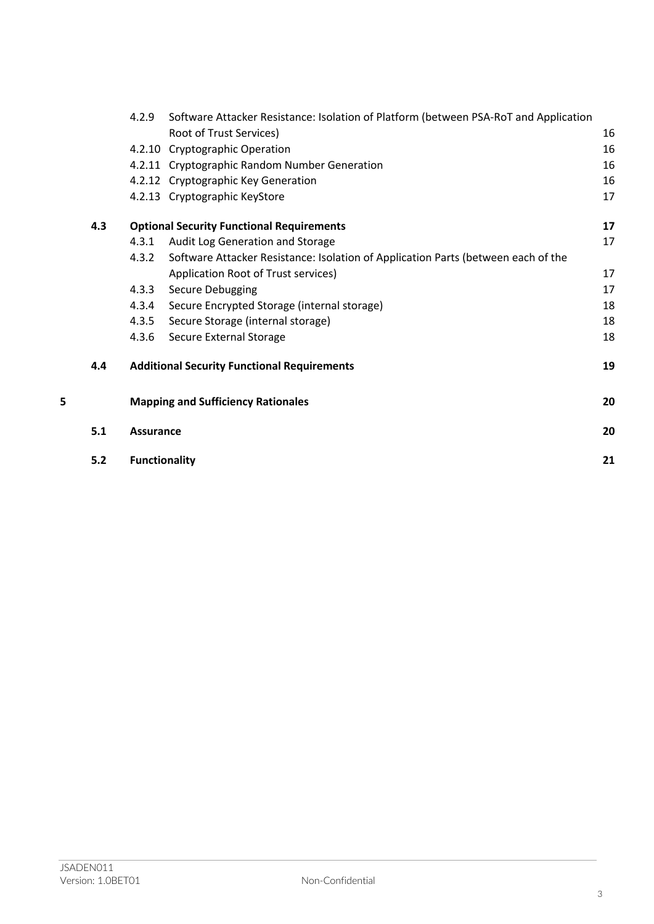|   |     | 4.2.9                | Software Attacker Resistance: Isolation of Platform (between PSA-RoT and Application |    |
|---|-----|----------------------|--------------------------------------------------------------------------------------|----|
|   |     |                      | Root of Trust Services)                                                              | 16 |
|   |     | 4.2.10               | <b>Cryptographic Operation</b>                                                       | 16 |
|   |     |                      | 4.2.11 Cryptographic Random Number Generation                                        | 16 |
|   |     |                      | 4.2.12 Cryptographic Key Generation                                                  | 16 |
|   |     |                      | 4.2.13 Cryptographic KeyStore                                                        | 17 |
|   | 4.3 |                      | <b>Optional Security Functional Requirements</b>                                     | 17 |
|   |     | 4.3.1                | Audit Log Generation and Storage                                                     | 17 |
|   |     | 4.3.2                | Software Attacker Resistance: Isolation of Application Parts (between each of the    |    |
|   |     |                      | Application Root of Trust services)                                                  | 17 |
|   |     | 4.3.3                | Secure Debugging                                                                     | 17 |
|   |     | 4.3.4                | Secure Encrypted Storage (internal storage)                                          | 18 |
|   |     | 4.3.5                | Secure Storage (internal storage)                                                    | 18 |
|   |     | 4.3.6                | Secure External Storage                                                              | 18 |
|   | 4.4 |                      | <b>Additional Security Functional Requirements</b>                                   | 19 |
| 5 |     |                      | <b>Mapping and Sufficiency Rationales</b>                                            | 20 |
|   | 5.1 | <b>Assurance</b>     |                                                                                      | 20 |
|   | 5.2 | <b>Functionality</b> |                                                                                      | 21 |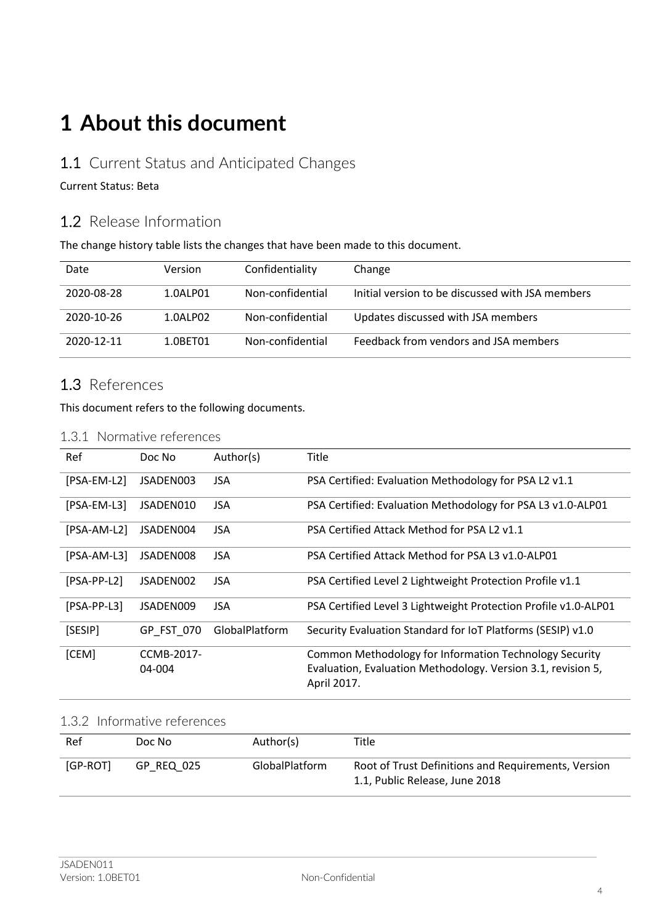## **1 About this document**

### 1.1 Current Status and Anticipated Changes

#### Current Status: Beta

## 1.2 Release Information

The change history table lists the changes that have been made to this document.

| Date       | Version  | Confidentiality  | Change                                           |
|------------|----------|------------------|--------------------------------------------------|
| 2020-08-28 | 1.0ALP01 | Non-confidential | Initial version to be discussed with JSA members |
| 2020-10-26 | 1.0ALP02 | Non-confidential | Updates discussed with JSA members               |
| 2020-12-11 | 1.0RFT01 | Non-confidential | Feedback from vendors and JSA members            |

## 1.3 References

This document refers to the following documents.

#### 1.3.1 Normative references

| Ref           | Doc No               | Author(s)      | Title                                                                                                                                 |
|---------------|----------------------|----------------|---------------------------------------------------------------------------------------------------------------------------------------|
| [PSA-EM-L2]   | JSADEN003            | JSA.           | PSA Certified: Evaluation Methodology for PSA L2 v1.1                                                                                 |
| [PSA-EM-L3]   | JSADEN010            | <b>JSA</b>     | PSA Certified: Evaluation Methodology for PSA L3 v1.0-ALP01                                                                           |
| [PSA-AM-L2]   | JSADEN004            | <b>JSA</b>     | PSA Certified Attack Method for PSA L2 v1.1                                                                                           |
| [PSA-AM-L3]   | JSADEN008            | <b>JSA</b>     | PSA Certified Attack Method for PSA L3 v1.0-ALP01                                                                                     |
| $[PSA-PP-L2]$ | JSADEN002            | <b>JSA</b>     | PSA Certified Level 2 Lightweight Protection Profile v1.1                                                                             |
| $[PSA-PP-L3]$ | JSADEN009            | JSA.           | PSA Certified Level 3 Lightweight Protection Profile v1.0-ALP01                                                                       |
| [SESIP]       | GP FST 070           | GlobalPlatform | Security Evaluation Standard for IoT Platforms (SESIP) v1.0                                                                           |
| [CEM]         | CCMB-2017-<br>04-004 |                | Common Methodology for Information Technology Security<br>Evaluation, Evaluation Methodology. Version 3.1, revision 5,<br>April 2017. |

#### 1.3.2 Informative references

| Ref      | Doc No     | Author(s)             | Title                                                                                 |
|----------|------------|-----------------------|---------------------------------------------------------------------------------------|
| [GP-ROT] | GP REQ 025 | <b>GlobalPlatform</b> | Root of Trust Definitions and Requirements, Version<br>1.1, Public Release, June 2018 |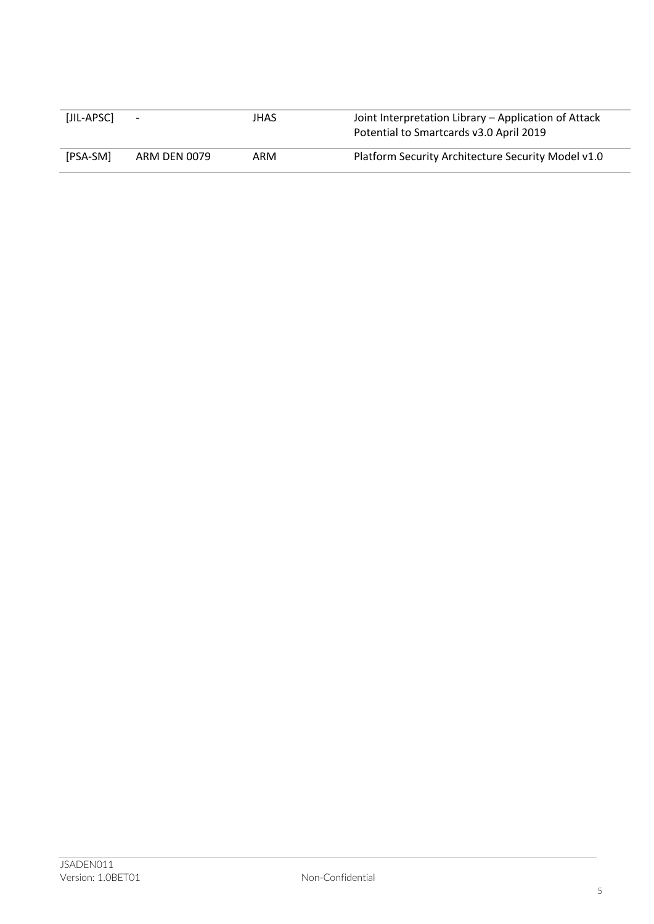| [JIL-APSC] | $\overline{\phantom{a}}$ | JHAS | Joint Interpretation Library - Application of Attack<br>Potential to Smartcards v3.0 April 2019 |
|------------|--------------------------|------|-------------------------------------------------------------------------------------------------|
| [PSA-SM]   | ARM DEN 0079             | ARM  | Platform Security Architecture Security Model v1.0                                              |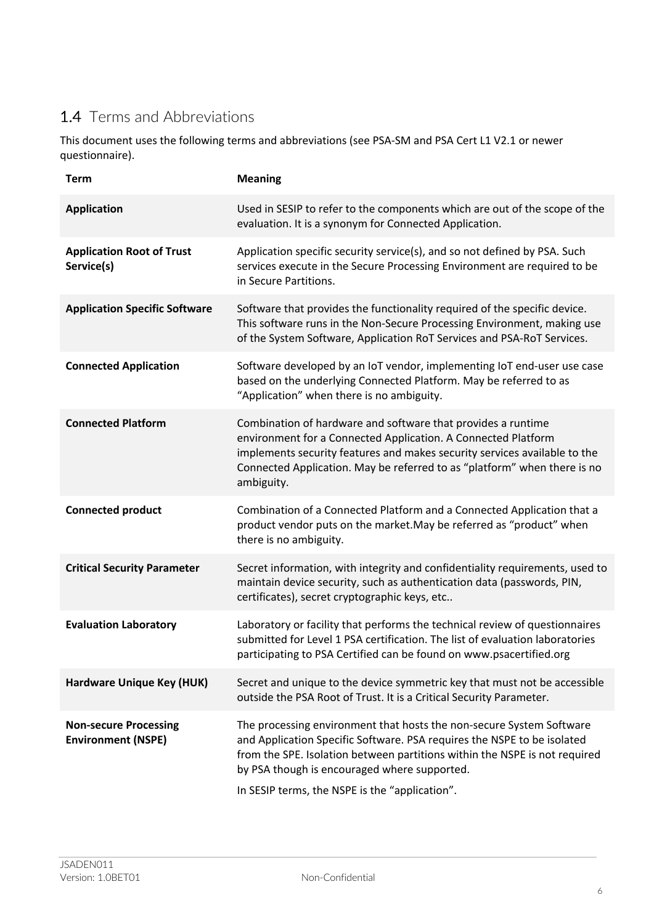## 1.4 Terms and Abbreviations

This document uses the following terms and abbreviations (see PSA-SM and PSA Cert L1 V2.1 or newer questionnaire).

| <b>Term</b>                                               | <b>Meaning</b>                                                                                                                                                                                                                                                                                                                  |
|-----------------------------------------------------------|---------------------------------------------------------------------------------------------------------------------------------------------------------------------------------------------------------------------------------------------------------------------------------------------------------------------------------|
| <b>Application</b>                                        | Used in SESIP to refer to the components which are out of the scope of the<br>evaluation. It is a synonym for Connected Application.                                                                                                                                                                                            |
| <b>Application Root of Trust</b><br>Service(s)            | Application specific security service(s), and so not defined by PSA. Such<br>services execute in the Secure Processing Environment are required to be<br>in Secure Partitions.                                                                                                                                                  |
| <b>Application Specific Software</b>                      | Software that provides the functionality required of the specific device.<br>This software runs in the Non-Secure Processing Environment, making use<br>of the System Software, Application RoT Services and PSA-RoT Services.                                                                                                  |
| <b>Connected Application</b>                              | Software developed by an IoT vendor, implementing IoT end-user use case<br>based on the underlying Connected Platform. May be referred to as<br>"Application" when there is no ambiguity.                                                                                                                                       |
| <b>Connected Platform</b>                                 | Combination of hardware and software that provides a runtime<br>environment for a Connected Application. A Connected Platform<br>implements security features and makes security services available to the<br>Connected Application. May be referred to as "platform" when there is no<br>ambiguity.                            |
| <b>Connected product</b>                                  | Combination of a Connected Platform and a Connected Application that a<br>product vendor puts on the market. May be referred as "product" when<br>there is no ambiguity.                                                                                                                                                        |
| <b>Critical Security Parameter</b>                        | Secret information, with integrity and confidentiality requirements, used to<br>maintain device security, such as authentication data (passwords, PIN,<br>certificates), secret cryptographic keys, etc                                                                                                                         |
| <b>Evaluation Laboratory</b>                              | Laboratory or facility that performs the technical review of questionnaires<br>submitted for Level 1 PSA certification. The list of evaluation laboratories<br>participating to PSA Certified can be found on www.psacertified.org                                                                                              |
| Hardware Unique Key (HUK)                                 | Secret and unique to the device symmetric key that must not be accessible<br>outside the PSA Root of Trust. It is a Critical Security Parameter.                                                                                                                                                                                |
| <b>Non-secure Processing</b><br><b>Environment (NSPE)</b> | The processing environment that hosts the non-secure System Software<br>and Application Specific Software. PSA requires the NSPE to be isolated<br>from the SPE. Isolation between partitions within the NSPE is not required<br>by PSA though is encouraged where supported.<br>In SESIP terms, the NSPE is the "application". |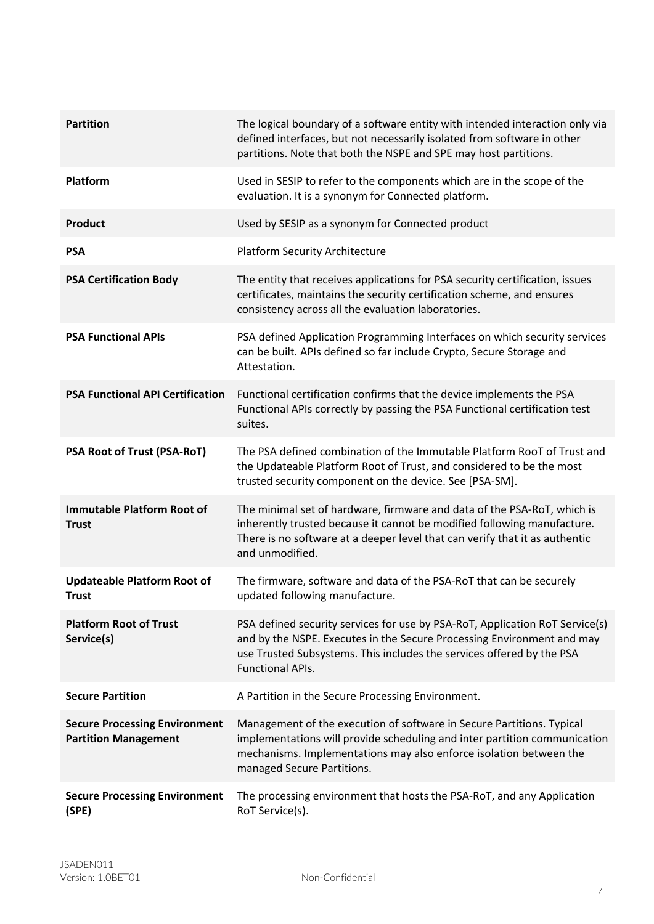| <b>Partition</b>                                                    | The logical boundary of a software entity with intended interaction only via<br>defined interfaces, but not necessarily isolated from software in other<br>partitions. Note that both the NSPE and SPE may host partitions.                                |
|---------------------------------------------------------------------|------------------------------------------------------------------------------------------------------------------------------------------------------------------------------------------------------------------------------------------------------------|
| <b>Platform</b>                                                     | Used in SESIP to refer to the components which are in the scope of the<br>evaluation. It is a synonym for Connected platform.                                                                                                                              |
| <b>Product</b>                                                      | Used by SESIP as a synonym for Connected product                                                                                                                                                                                                           |
| <b>PSA</b>                                                          | <b>Platform Security Architecture</b>                                                                                                                                                                                                                      |
| <b>PSA Certification Body</b>                                       | The entity that receives applications for PSA security certification, issues<br>certificates, maintains the security certification scheme, and ensures<br>consistency across all the evaluation laboratories.                                              |
| <b>PSA Functional APIs</b>                                          | PSA defined Application Programming Interfaces on which security services<br>can be built. APIs defined so far include Crypto, Secure Storage and<br>Attestation.                                                                                          |
| <b>PSA Functional API Certification</b>                             | Functional certification confirms that the device implements the PSA<br>Functional APIs correctly by passing the PSA Functional certification test<br>suites.                                                                                              |
| PSA Root of Trust (PSA-RoT)                                         | The PSA defined combination of the Immutable Platform RooT of Trust and<br>the Updateable Platform Root of Trust, and considered to be the most<br>trusted security component on the device. See [PSA-SM].                                                 |
| <b>Immutable Platform Root of</b><br><b>Trust</b>                   | The minimal set of hardware, firmware and data of the PSA-RoT, which is<br>inherently trusted because it cannot be modified following manufacture.<br>There is no software at a deeper level that can verify that it as authentic<br>and unmodified.       |
| <b>Updateable Platform Root of</b><br><b>Trust</b>                  | The firmware, software and data of the PSA-RoT that can be securely<br>updated following manufacture.                                                                                                                                                      |
| <b>Platform Root of Trust</b><br>Service(s)                         | PSA defined security services for use by PSA-RoT, Application RoT Service(s)<br>and by the NSPE. Executes in the Secure Processing Environment and may<br>use Trusted Subsystems. This includes the services offered by the PSA<br><b>Functional APIs.</b> |
| <b>Secure Partition</b>                                             | A Partition in the Secure Processing Environment.                                                                                                                                                                                                          |
| <b>Secure Processing Environment</b><br><b>Partition Management</b> | Management of the execution of software in Secure Partitions. Typical<br>implementations will provide scheduling and inter partition communication<br>mechanisms. Implementations may also enforce isolation between the<br>managed Secure Partitions.     |
| <b>Secure Processing Environment</b><br>(SPE)                       | The processing environment that hosts the PSA-RoT, and any Application<br>RoT Service(s).                                                                                                                                                                  |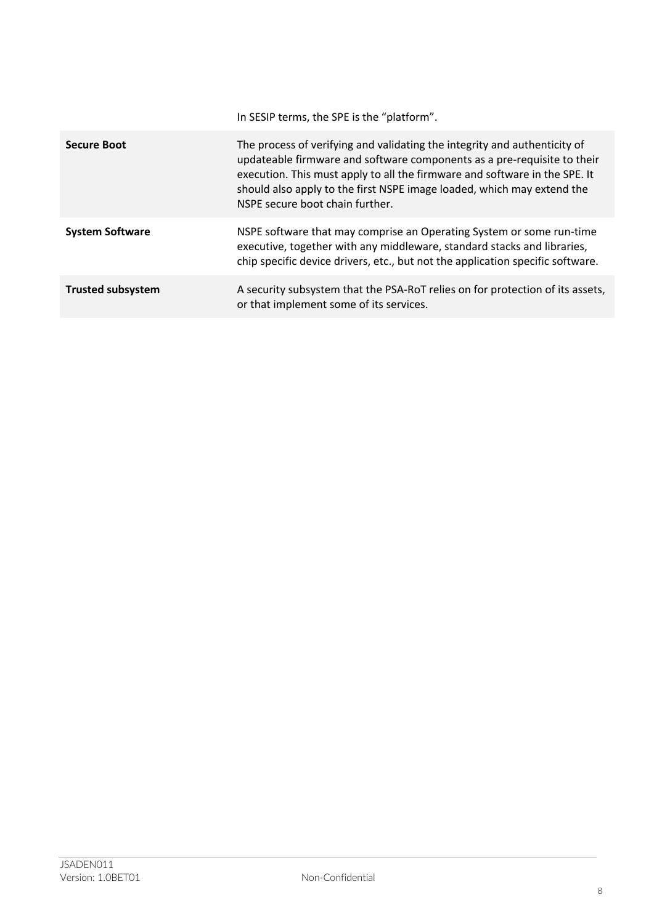|                          | In SESIP terms, the SPE is the "platform".                                                                                                                                                                                                                                                                                                      |
|--------------------------|-------------------------------------------------------------------------------------------------------------------------------------------------------------------------------------------------------------------------------------------------------------------------------------------------------------------------------------------------|
| <b>Secure Boot</b>       | The process of verifying and validating the integrity and authenticity of<br>updateable firmware and software components as a pre-requisite to their<br>execution. This must apply to all the firmware and software in the SPE. It<br>should also apply to the first NSPE image loaded, which may extend the<br>NSPE secure boot chain further. |
| <b>System Software</b>   | NSPE software that may comprise an Operating System or some run-time<br>executive, together with any middleware, standard stacks and libraries,<br>chip specific device drivers, etc., but not the application specific software.                                                                                                               |
| <b>Trusted subsystem</b> | A security subsystem that the PSA-RoT relies on for protection of its assets,<br>or that implement some of its services.                                                                                                                                                                                                                        |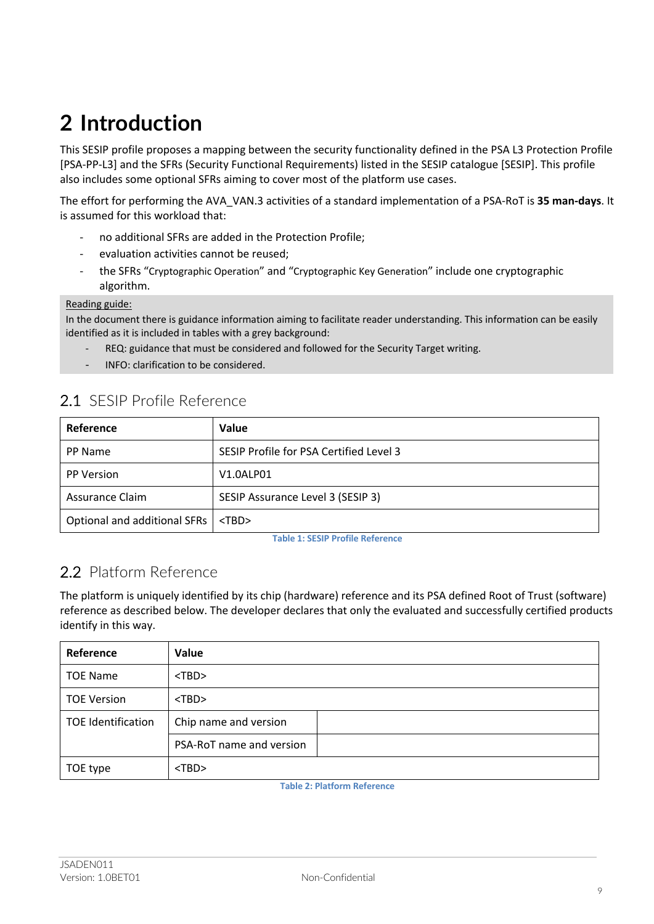# **2 Introduction**

This SESIP profile proposes a mapping between the security functionality defined in the PSA L3 Protection Profile [PSA-PP-L3] and the SFRs (Security Functional Requirements) listed in the SESIP catalogue [SESIP]. This profile also includes some optional SFRs aiming to cover most of the platform use cases.

The effort for performing the AVA\_VAN.3 activities of a standard implementation of a PSA-RoT is **35 man-days**. It is assumed for this workload that:

- no additional SFRs are added in the Protection Profile;
- evaluation activities cannot be reused;
- the SFRs "Cryptographic Operation" and "Cryptographic Key Generation" include one cryptographic algorithm.

#### Reading guide:

In the document there is guidance information aiming to facilitate reader understanding. This information can be easily identified as it is included in tables with a grey background:

- REQ: guidance that must be considered and followed for the Security Target writing.
- INFO: clarification to be considered.

|  | 2.1 SESIP Profile Reference |  |  |
|--|-----------------------------|--|--|
|  |                             |  |  |

| Reference                    | Value                                   |
|------------------------------|-----------------------------------------|
| PP Name                      | SESIP Profile for PSA Certified Level 3 |
| <b>PP Version</b>            | V1.0ALP01                               |
| Assurance Claim              | SESIP Assurance Level 3 (SESIP 3)       |
| Optional and additional SFRs | $<$ TBD $>$                             |

**Table 1: SESIP Profile Reference**

## 2.2 Platform Reference

The platform is uniquely identified by its chip (hardware) reference and its PSA defined Root of Trust (software) reference as described below. The developer declares that only the evaluated and successfully certified products identify in this way.

| Reference                 | Value                    |
|---------------------------|--------------------------|
| <b>TOE Name</b>           | $<$ TBD $>$              |
| <b>TOE Version</b>        | $<$ TBD $>$              |
| <b>TOE Identification</b> | Chip name and version    |
|                           | PSA-RoT name and version |
| TOE type                  | $<$ TBD $>$              |

**Table 2: Platform Reference**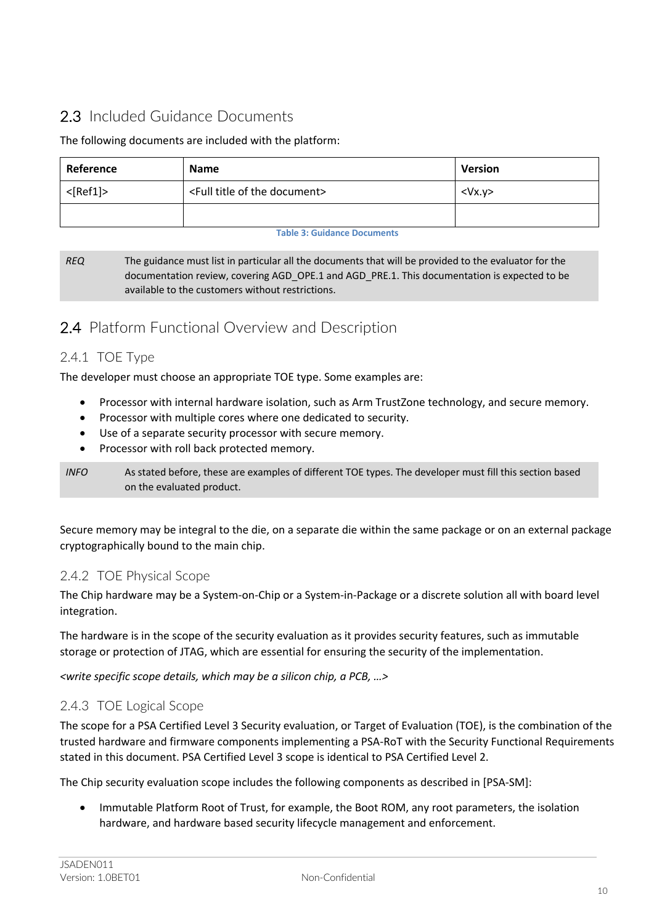## 2.3 Included Guidance Documents

#### The following documents are included with the platform:

| Reference<br><b>Name</b>                                       |  | <b>Version</b> |
|----------------------------------------------------------------|--|----------------|
| $<$ [Ref1]><br><full document="" of="" the="" title=""></full> |  | $<$ Vx.y>      |
|                                                                |  |                |

#### **Table 3: Guidance Documents**

*REQ* The guidance must list in particular all the documents that will be provided to the evaluator for the documentation review, covering AGD\_OPE.1 and AGD\_PRE.1. This documentation is expected to be available to the customers without restrictions.

## 2.4 Platform Functional Overview and Description

### 2.4.1 TOE Type

The developer must choose an appropriate TOE type. Some examples are:

- Processor with internal hardware isolation, such as Arm TrustZone technology, and secure memory.
- Processor with multiple cores where one dedicated to security.
- Use of a separate security processor with secure memory.
- Processor with roll back protected memory.

*INFO* As stated before, these are examples of different TOE types. The developer must fill this section based on the evaluated product.

Secure memory may be integral to the die, on a separate die within the same package or on an external package cryptographically bound to the main chip.

### 2.4.2 TOE Physical Scope

The Chip hardware may be a System-on-Chip or a System-in-Package or a discrete solution all with board level integration.

The hardware is in the scope of the security evaluation as it provides security features, such as immutable storage or protection of JTAG, which are essential for ensuring the security of the implementation.

*<write specific scope details, which may be a silicon chip, a PCB, …>*

### 2.4.3 TOE Logical Scope

The scope for a PSA Certified Level 3 Security evaluation, or Target of Evaluation (TOE), is the combination of the trusted hardware and firmware components implementing a PSA-RoT with the Security Functional Requirements stated in this document. PSA Certified Level 3 scope is identical to PSA Certified Level 2.

The Chip security evaluation scope includes the following components as described in [PSA-SM]:

• Immutable Platform Root of Trust, for example, the Boot ROM, any root parameters, the isolation hardware, and hardware based security lifecycle management and enforcement.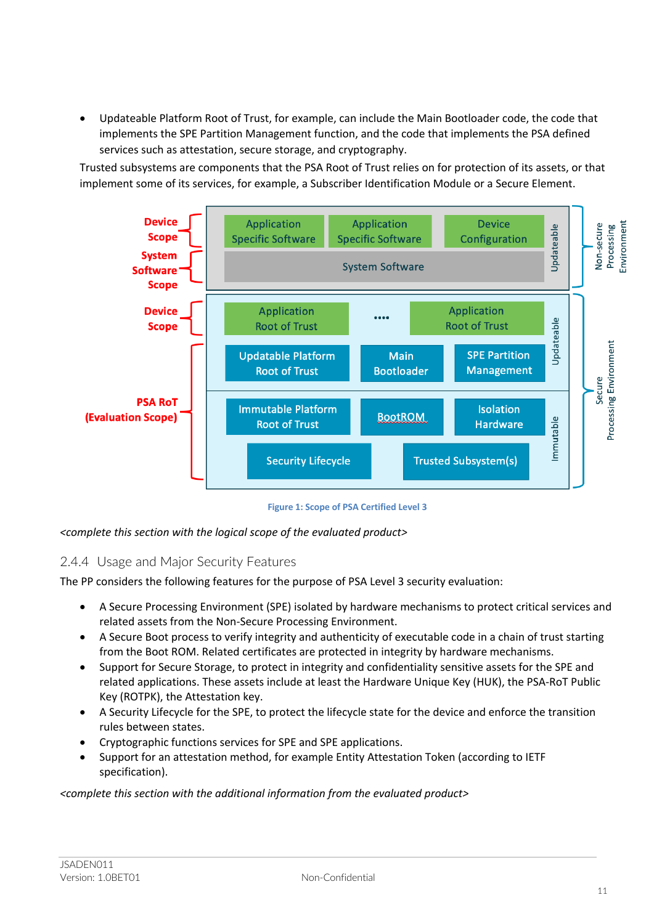• Updateable Platform Root of Trust, for example, can include the Main Bootloader code, the code that implements the SPE Partition Management function, and the code that implements the PSA defined services such as attestation, secure storage, and cryptography.

Trusted subsystems are components that the PSA Root of Trust relies on for protection of its assets, or that implement some of its services, for example, a Subscriber Identification Module or a Secure Element.



**Figure 1: Scope of PSA Certified Level 3**

*<complete this section with the logical scope of the evaluated product>*

#### 2.4.4 Usage and Major Security Features

The PP considers the following features for the purpose of PSA Level 3 security evaluation:

- A Secure Processing Environment (SPE) isolated by hardware mechanisms to protect critical services and related assets from the Non-Secure Processing Environment.
- A Secure Boot process to verify integrity and authenticity of executable code in a chain of trust starting from the Boot ROM. Related certificates are protected in integrity by hardware mechanisms.
- Support for Secure Storage, to protect in integrity and confidentiality sensitive assets for the SPE and related applications. These assets include at least the Hardware Unique Key (HUK), the PSA-RoT Public Key (ROTPK), the Attestation key.
- A Security Lifecycle for the SPE, to protect the lifecycle state for the device and enforce the transition rules between states.
- Cryptographic functions services for SPE and SPE applications.
- Support for an attestation method, for example Entity Attestation Token (according to IETF specification).

*<complete this section with the additional information from the evaluated product>*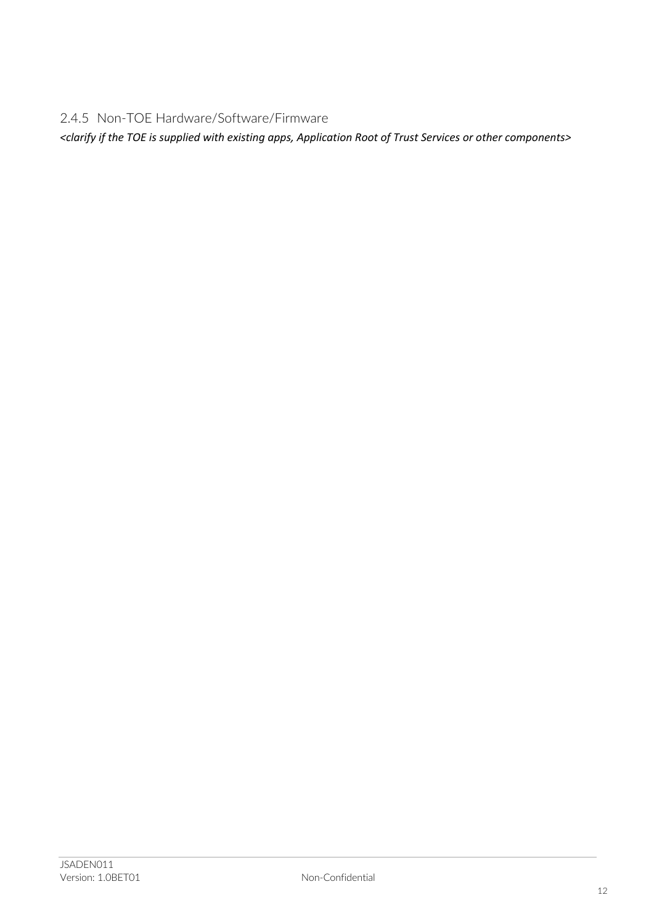2.4.5 Non-TOE Hardware/Software/Firmware

*<clarify if the TOE is supplied with existing apps, Application Root of Trust Services or other components>*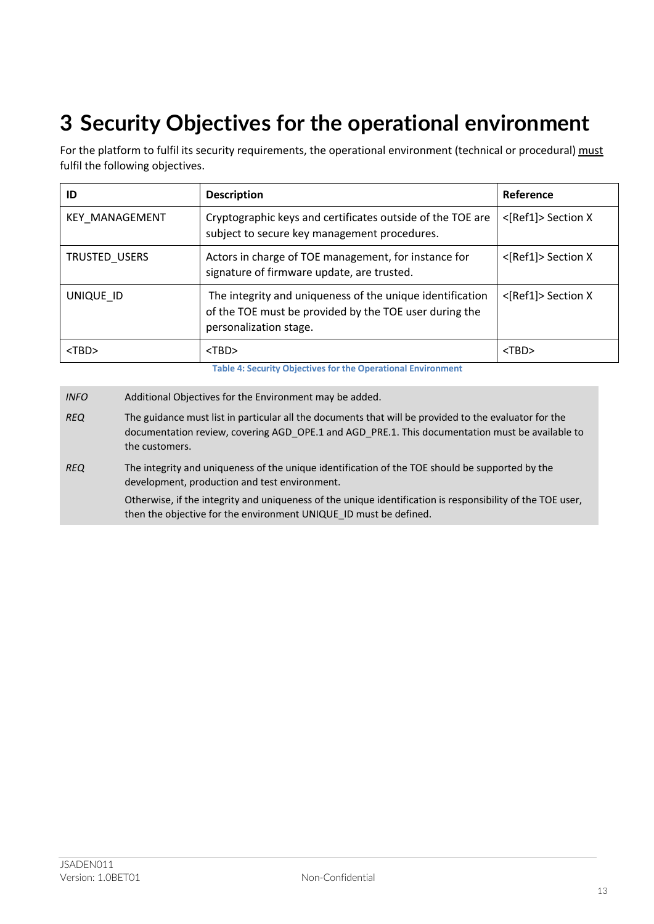# **3 Security Objectives for the operational environment**

For the platform to fulfil its security requirements, the operational environment (technical or procedural) must fulfil the following objectives.

| ID                    | <b>Description</b>                                                                                                                            | Reference          |
|-----------------------|-----------------------------------------------------------------------------------------------------------------------------------------------|--------------------|
| <b>KEY MANAGEMENT</b> | Cryptographic keys and certificates outside of the TOE are<br>subject to secure key management procedures.                                    | <[Ref1]> Section X |
| TRUSTED_USERS         | Actors in charge of TOE management, for instance for<br>signature of firmware update, are trusted.                                            | <[Ref1]> Section X |
| UNIQUE ID             | The integrity and uniqueness of the unique identification<br>of the TOE must be provided by the TOE user during the<br>personalization stage. | <[Ref1]> Section X |
| $<$ TBD $>$           | $<$ TBD $>$                                                                                                                                   | $<$ TBD $>$        |

**Table 4: Security Objectives for the Operational Environment**

*INFO* Additional Objectives for the Environment may be added.

*REQ* The integrity and uniqueness of the unique identification of the TOE should be supported by the development, production and test environment.

Otherwise, if the integrity and uniqueness of the unique identification is responsibility of the TOE user, then the objective for the environment UNIQUE\_ID must be defined.

*REQ* The guidance must list in particular all the documents that will be provided to the evaluator for the documentation review, covering AGD\_OPE.1 and AGD\_PRE.1. This documentation must be available to the customers.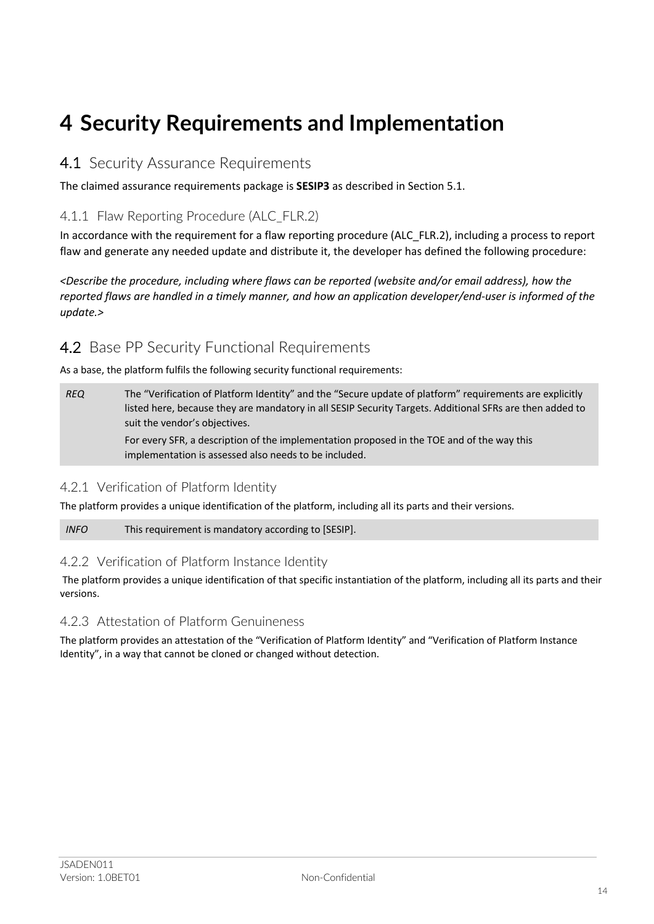## **4 Security Requirements and Implementation**

### 4.1 Security Assurance Requirements

The claimed assurance requirements package is **SESIP3** as described in Section 5.1.

### 4.1.1 Flaw Reporting Procedure (ALC\_FLR.2)

In accordance with the requirement for a flaw reporting procedure (ALC\_FLR.2), including a process to report flaw and generate any needed update and distribute it, the developer has defined the following procedure:

*<Describe the procedure, including where flaws can be reported (website and/or email address), how the reported flaws are handled in a timely manner, and how an application developer/end-user is informed of the update.>*

### 4.2 Base PP Security Functional Requirements

As a base, the platform fulfils the following security functional requirements:

*REQ* The "Verification of Platform Identity" and the "Secure update of platform" requirements are explicitly listed here, because they are mandatory in all SESIP Security Targets. Additional SFRs are then added to suit the vendor's objectives.

> For every SFR, a description of the implementation proposed in the TOE and of the way this implementation is assessed also needs to be included.

#### 4.2.1 Verification of Platform Identity

The platform provides a unique identification of the platform, including all its parts and their versions.

*INFO* This requirement is mandatory according to [SESIP].

#### 4.2.2 Verification of Platform Instance Identity

The platform provides a unique identification of that specific instantiation of the platform, including all its parts and their versions.

#### 4.2.3 Attestation of Platform Genuineness

The platform provides an attestation of the "Verification of Platform Identity" and "Verification of Platform Instance Identity", in a way that cannot be cloned or changed without detection.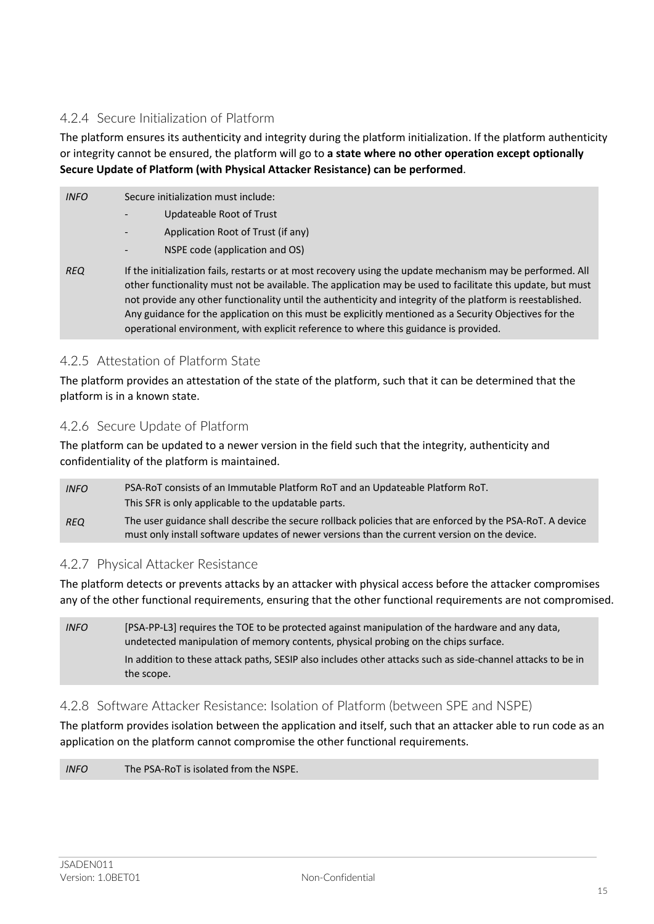### 4.2.4 Secure Initialization of Platform

The platform ensures its authenticity and integrity during the platform initialization. If the platform authenticity or integrity cannot be ensured, the platform will go to **a state where no other operation except optionally Secure Update of Platform (with Physical Attacker Resistance) can be performed**.

| <b>INFO</b> | Secure initialization must include:                                                                                                                                                                                                                                                                                                                                                                                                                                                                                                      |
|-------------|------------------------------------------------------------------------------------------------------------------------------------------------------------------------------------------------------------------------------------------------------------------------------------------------------------------------------------------------------------------------------------------------------------------------------------------------------------------------------------------------------------------------------------------|
|             | Updateable Root of Trust                                                                                                                                                                                                                                                                                                                                                                                                                                                                                                                 |
|             | Application Root of Trust (if any)                                                                                                                                                                                                                                                                                                                                                                                                                                                                                                       |
|             | NSPE code (application and OS)                                                                                                                                                                                                                                                                                                                                                                                                                                                                                                           |
| <b>REQ</b>  | If the initialization fails, restarts or at most recovery using the update mechanism may be performed. All<br>other functionality must not be available. The application may be used to facilitate this update, but must<br>not provide any other functionality until the authenticity and integrity of the platform is reestablished.<br>Any guidance for the application on this must be explicitly mentioned as a Security Objectives for the<br>operational environment, with explicit reference to where this guidance is provided. |

#### 4.2.5 Attestation of Platform State

The platform provides an attestation of the state of the platform, such that it can be determined that the platform is in a known state.

#### 4.2.6 Secure Update of Platform

The platform can be updated to a newer version in the field such that the integrity, authenticity and confidentiality of the platform is maintained.

| <b>INFO</b> | PSA-RoT consists of an Immutable Platform RoT and an Updateable Platform RoT.<br>This SFR is only applicable to the updatable parts.                                                                     |
|-------------|----------------------------------------------------------------------------------------------------------------------------------------------------------------------------------------------------------|
| <b>REQ</b>  | The user guidance shall describe the secure rollback policies that are enforced by the PSA-RoT. A device<br>must only install software updates of newer versions than the current version on the device. |

#### 4.2.7 Physical Attacker Resistance

The platform detects or prevents attacks by an attacker with physical access before the attacker compromises any of the other functional requirements, ensuring that the other functional requirements are not compromised.

*INFO* [PSA-PP-L3] requires the TOE to be protected against manipulation of the hardware and any data, undetected manipulation of memory contents, physical probing on the chips surface. In addition to these attack paths, SESIP also includes other attacks such as side-channel attacks to be in the scope.

### 4.2.8 Software Attacker Resistance: Isolation of Platform (between SPE and NSPE)

The platform provides isolation between the application and itself, such that an attacker able to run code as an application on the platform cannot compromise the other functional requirements.

*INFO* The PSA-RoT is isolated from the NSPE.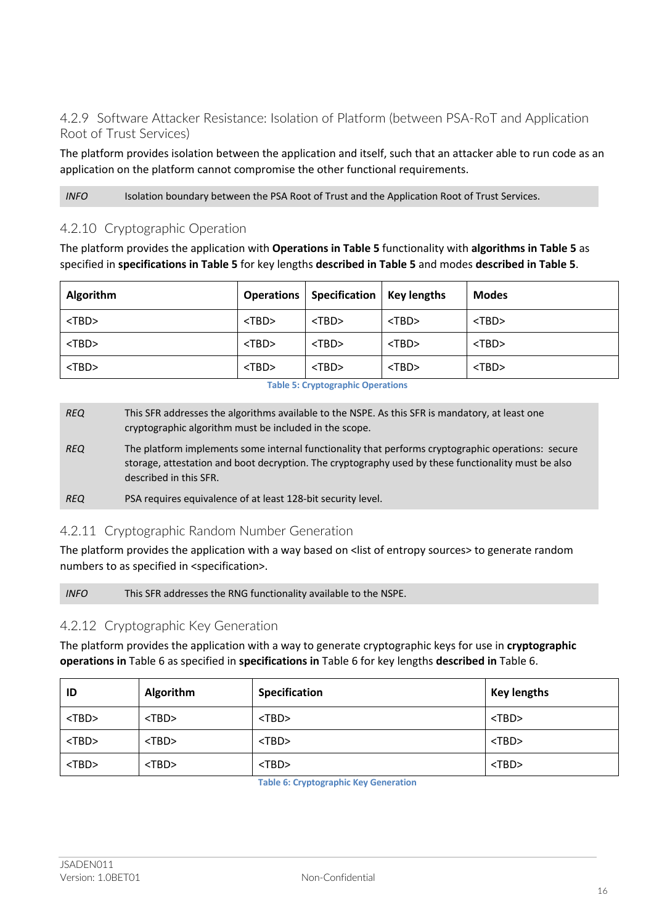### 4.2.9 Software Attacker Resistance: Isolation of Platform (between PSA-RoT and Application Root of Trust Services)

The platform provides isolation between the application and itself, such that an attacker able to run code as an application on the platform cannot compromise the other functional requirements.

*INFO* Isolation boundary between the PSA Root of Trust and the Application Root of Trust Services.

#### 4.2.10 Cryptographic Operation

The platform provides the application with **Operations in Table 5** functionality with **algorithms in Table 5** as specified in **specifications in Table 5** for key lengths **described in Table 5** and modes **described in Table 5**.

| <b>Algorithm</b> |             | Operations   Specification   Key lengths |             | <b>Modes</b> |
|------------------|-------------|------------------------------------------|-------------|--------------|
| $<$ TBD $>$      | $<$ TBD $>$ | $<$ TBD $>$                              | $<$ TBD $>$ | $<$ TBD $>$  |
| $<$ TBD $>$      | $<$ TBD $>$ | $<$ TBD $>$                              | $<$ TBD $>$ | $<$ TBD $>$  |
| $<$ TBD $>$      | $<$ TBD $>$ | $<$ TBD $>$                              | $<$ TBD $>$ | $<$ TBD $>$  |

**Table 5: Cryptographic Operations**

*REQ* This SFR addresses the algorithms available to the NSPE. As this SFR is mandatory, at least one cryptographic algorithm must be included in the scope. *REQ* The platform implements some internal functionality that performs cryptographic operations: secure storage, attestation and boot decryption. The cryptography used by these functionality must be also described in this SFR. *REQ* PSA requires equivalence of at least 128-bit security level.

#### 4.2.11 Cryptographic Random Number Generation

The platform provides the application with a way based on <list of entropy sources> to generate random numbers to as specified in <specification>.

*INFO* This SFR addresses the RNG functionality available to the NSPE.

#### 4.2.12 Cryptographic Key Generation

The platform provides the application with a way to generate cryptographic keys for use in **cryptographic operations in** Table 6 as specified in **specifications in** Table 6 for key lengths **described in** Table 6.

| ID          | Algorithm   | <b>Specification</b> | <b>Key lengths</b> |
|-------------|-------------|----------------------|--------------------|
| $<$ TBD $>$ | $<$ TBD $>$ | $<$ TBD $>$          | $<$ TBD $>$        |
| $<$ TBD $>$ | $<$ TBD $>$ | $<$ TBD $>$          | $<$ TBD $>$        |
| $<$ TBD $>$ | $<$ TBD $>$ | $<$ TBD $>$          | $<$ TBD $>$        |

**Table 6: Cryptographic Key Generation**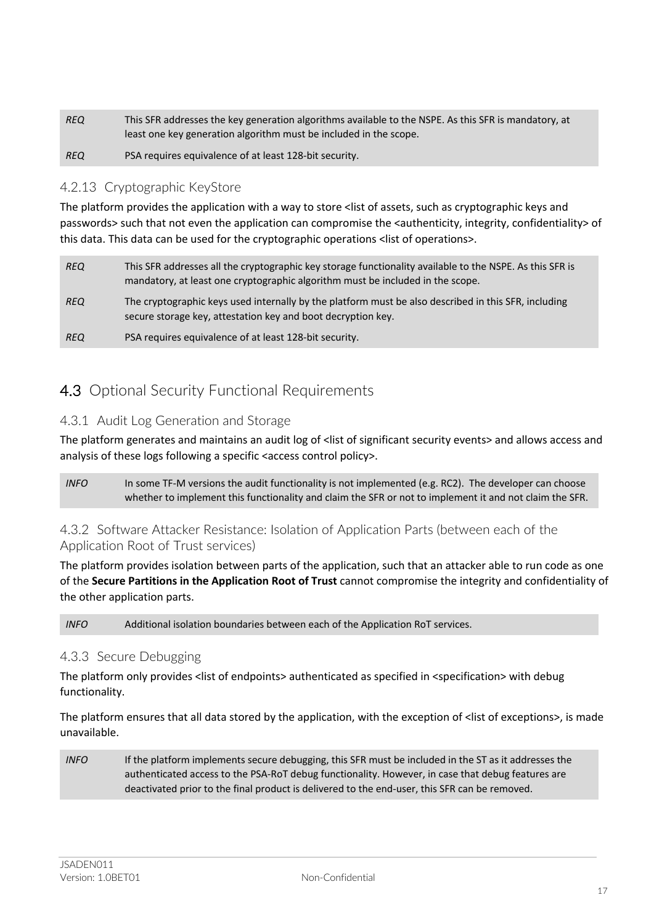| <b>REQ</b> | This SFR addresses the key generation algorithms available to the NSPE. As this SFR is mandatory, at |
|------------|------------------------------------------------------------------------------------------------------|
|            | least one key generation algorithm must be included in the scope.                                    |
| <b>REQ</b> | PSA requires equivalence of at least 128-bit security.                                               |

#### 4.2.13 Cryptographic KeyStore

The platform provides the application with a way to store <list of assets, such as cryptographic keys and passwords> such that not even the application can compromise the <authenticity, integrity, confidentiality> of this data. This data can be used for the cryptographic operations <list of operations>.

| <b>REQ</b> | This SFR addresses all the cryptographic key storage functionality available to the NSPE. As this SFR is<br>mandatory, at least one cryptographic algorithm must be included in the scope. |
|------------|--------------------------------------------------------------------------------------------------------------------------------------------------------------------------------------------|
| <b>REQ</b> | The cryptographic keys used internally by the platform must be also described in this SFR, including<br>secure storage key, attestation key and boot decryption key.                       |
| <b>REQ</b> | PSA requires equivalence of at least 128-bit security.                                                                                                                                     |

## 4.3 Optional Security Functional Requirements

#### 4.3.1 Audit Log Generation and Storage

The platform generates and maintains an audit log of <list of significant security events> and allows access and analysis of these logs following a specific <access control policy>.

*INFO* In some TF-M versions the audit functionality is not implemented (e.g. RC2). The developer can choose whether to implement this functionality and claim the SFR or not to implement it and not claim the SFR.

#### 4.3.2 Software Attacker Resistance: Isolation of Application Parts (between each of the Application Root of Trust services)

The platform provides isolation between parts of the application, such that an attacker able to run code as one of the **Secure Partitions in the Application Root of Trust** cannot compromise the integrity and confidentiality of the other application parts.

*INFO* Additional isolation boundaries between each of the Application RoT services.

#### 4.3.3 Secure Debugging

The platform only provides <list of endpoints> authenticated as specified in <specification> with debug functionality.

The platform ensures that all data stored by the application, with the exception of <list of exceptions>, is made unavailable.

*INFO* If the platform implements secure debugging, this SFR must be included in the ST as it addresses the authenticated access to the PSA-RoT debug functionality. However, in case that debug features are deactivated prior to the final product is delivered to the end-user, this SFR can be removed.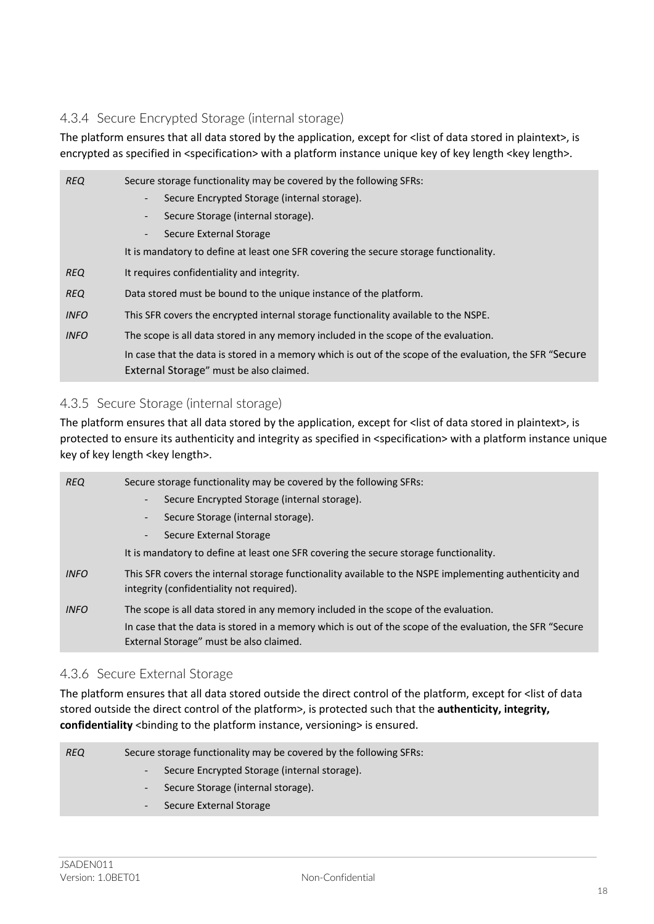### 4.3.4 Secure Encrypted Storage (internal storage)

The platform ensures that all data stored by the application, except for <list of data stored in plaintext>, is encrypted as specified in <specification> with a platform instance unique key of key length <key length>.

| <b>REQ</b>  | Secure storage functionality may be covered by the following SFRs:                                        |
|-------------|-----------------------------------------------------------------------------------------------------------|
|             | Secure Encrypted Storage (internal storage).<br>$\overline{\phantom{0}}$                                  |
|             | Secure Storage (internal storage).<br>۰.                                                                  |
|             | Secure External Storage                                                                                   |
|             | It is mandatory to define at least one SFR covering the secure storage functionality.                     |
| <b>REQ</b>  | It requires confidentiality and integrity.                                                                |
| <b>REQ</b>  | Data stored must be bound to the unique instance of the platform.                                         |
| <b>INFO</b> | This SFR covers the encrypted internal storage functionality available to the NSPE.                       |
| <b>INFO</b> | The scope is all data stored in any memory included in the scope of the evaluation.                       |
|             | In case that the data is stored in a memory which is out of the scope of the evaluation, the SFR "Secure" |
|             | External Storage" must be also claimed.                                                                   |

#### 4.3.5 Secure Storage (internal storage)

The platform ensures that all data stored by the application, except for <list of data stored in plaintext>, is protected to ensure its authenticity and integrity as specified in <specification> with a platform instance unique key of key length <key length>.

| <b>REQ</b>  | Secure storage functionality may be covered by the following SFRs:                                                                                   |
|-------------|------------------------------------------------------------------------------------------------------------------------------------------------------|
|             | Secure Encrypted Storage (internal storage).                                                                                                         |
|             | Secure Storage (internal storage).                                                                                                                   |
|             | Secure External Storage<br>$\overline{\phantom{0}}$                                                                                                  |
|             | It is mandatory to define at least one SFR covering the secure storage functionality.                                                                |
| <b>INFO</b> | This SFR covers the internal storage functionality available to the NSPE implementing authenticity and<br>integrity (confidentiality not required).  |
| <b>INFO</b> | The scope is all data stored in any memory included in the scope of the evaluation.                                                                  |
|             | In case that the data is stored in a memory which is out of the scope of the evaluation, the SFR "Secure"<br>External Storage" must be also claimed. |

#### 4.3.6 Secure External Storage

The platform ensures that all data stored outside the direct control of the platform, except for <list of data stored outside the direct control of the platform>, is protected such that the **authenticity, integrity,**  confidentiality <br/>binding to the platform instance, versioning> is ensured.

| REQ | Secure storage functionality may be covered by the following SFRs: |
|-----|--------------------------------------------------------------------|
|     | Secure Encrypted Storage (internal storage).                       |
|     | Secure Storage (internal storage).                                 |
|     | Secure External Storage                                            |
|     |                                                                    |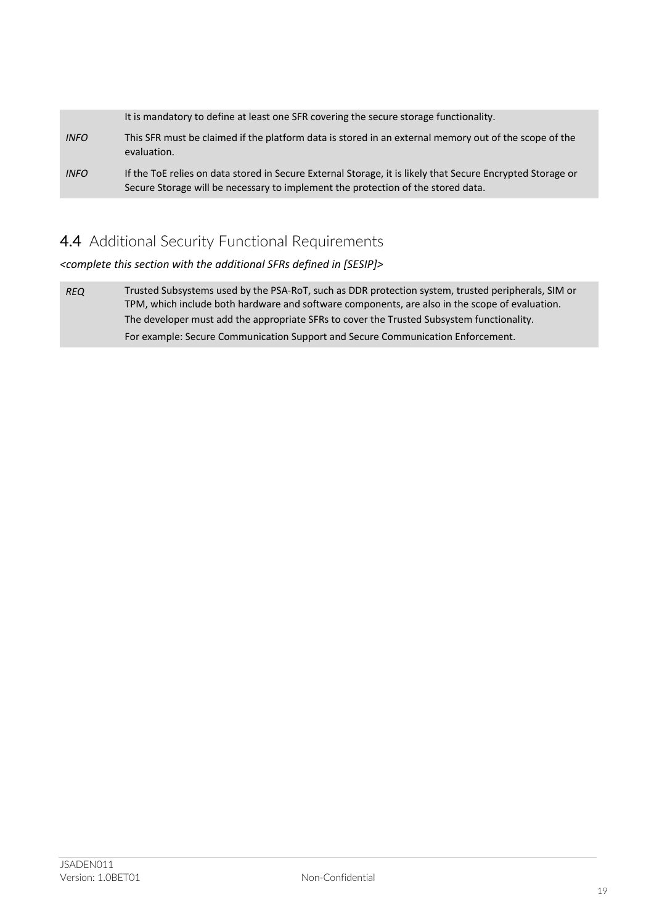|             | It is mandatory to define at least one SFR covering the secure storage functionality.                                                                                                          |
|-------------|------------------------------------------------------------------------------------------------------------------------------------------------------------------------------------------------|
| <b>INFO</b> | This SFR must be claimed if the platform data is stored in an external memory out of the scope of the<br>evaluation.                                                                           |
| <b>INFO</b> | If the ToE relies on data stored in Secure External Storage, it is likely that Secure Encrypted Storage or<br>Secure Storage will be necessary to implement the protection of the stored data. |

## 4.4 Additional Security Functional Requirements

*<complete this section with the additional SFRs defined in [SESIP]>*

*REQ* Trusted Subsystems used by the PSA-RoT, such as DDR protection system, trusted peripherals, SIM or TPM, which include both hardware and software components, are also in the scope of evaluation. The developer must add the appropriate SFRs to cover the Trusted Subsystem functionality. For example: Secure Communication Support and Secure Communication Enforcement.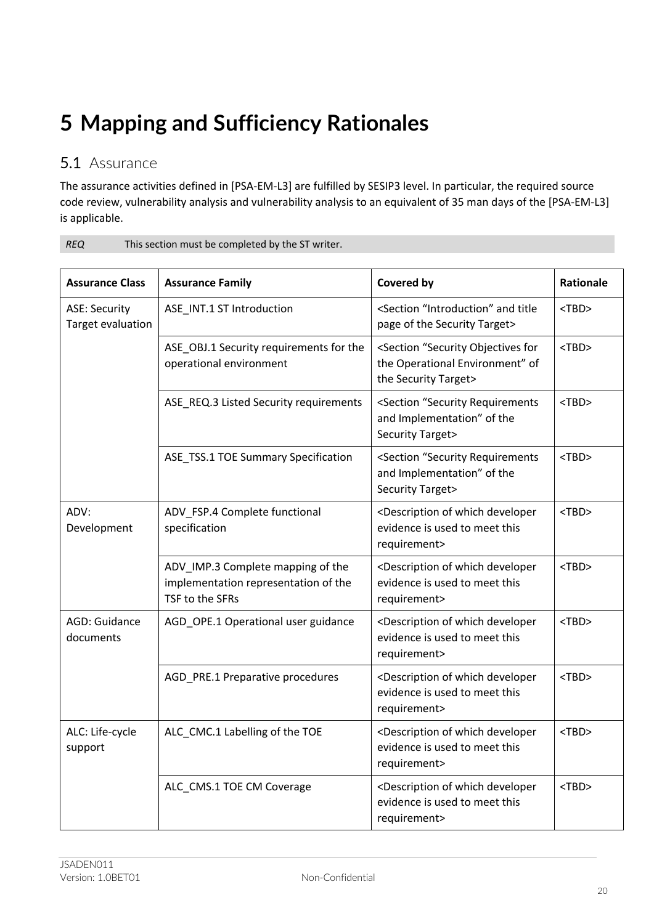# **5 Mapping and Sufficiency Rationales**

## 5.1 Assurance

The assurance activities defined in [PSA-EM-L3] are fulfilled by SESIP3 level. In particular, the required source code review, vulnerability analysis and vulnerability analysis to an equivalent of 35 man days of the [PSA-EM-L3] is applicable.

| <b>Assurance Class</b>                    | <b>Assurance Family</b>                                                                      | Covered by                                                                                                          | Rationale   |
|-------------------------------------------|----------------------------------------------------------------------------------------------|---------------------------------------------------------------------------------------------------------------------|-------------|
| <b>ASE: Security</b><br>Target evaluation | ASE_INT.1 ST Introduction                                                                    | <section "introduction"="" and="" title<br="">page of the Security Target&gt;</section>                             | $<$ TBD $>$ |
|                                           | ASE_OBJ.1 Security requirements for the<br>operational environment                           | <section "security="" for<br="" objectives="">the Operational Environment" of<br/>the Security Target&gt;</section> | $<$ TBD $>$ |
|                                           | ASE_REQ.3 Listed Security requirements                                                       | <section "security="" requirements<br="">and Implementation" of the<br/><b>Security Target&gt;</b></section>        | $<$ TBD $>$ |
|                                           | ASE_TSS.1 TOE Summary Specification                                                          | <section "security="" requirements<br="">and Implementation" of the<br/><b>Security Target&gt;</b></section>        | $<$ TBD $>$ |
| ADV:<br>Development                       | ADV_FSP.4 Complete functional<br>specification                                               | <description developer<br="" of="" which="">evidence is used to meet this<br/>requirement&gt;</description>         | $<$ TBD $>$ |
|                                           | ADV_IMP.3 Complete mapping of the<br>implementation representation of the<br>TSF to the SFRs | <description developer<br="" of="" which="">evidence is used to meet this<br/>requirement&gt;</description>         | $<$ TBD $>$ |
| AGD: Guidance<br>documents                | AGD_OPE.1 Operational user guidance                                                          | <description developer<br="" of="" which="">evidence is used to meet this<br/>requirement&gt;</description>         | $<$ TBD $>$ |
|                                           | AGD_PRE.1 Preparative procedures                                                             | <description developer<br="" of="" which="">evidence is used to meet this<br/>requirement&gt;</description>         | $<$ TBD $>$ |
| ALC: Life-cycle<br>support                | ALC_CMC.1 Labelling of the TOE                                                               | <description developer<br="" of="" which="">evidence is used to meet this<br/>requirement&gt;</description>         | $<$ TBD $>$ |
|                                           | ALC_CMS.1 TOE CM Coverage                                                                    | <description developer<br="" of="" which="">evidence is used to meet this<br/>requirement&gt;</description>         | $<$ TBD $>$ |

| REQ | This section must be completed by the ST writer. |
|-----|--------------------------------------------------|
|     |                                                  |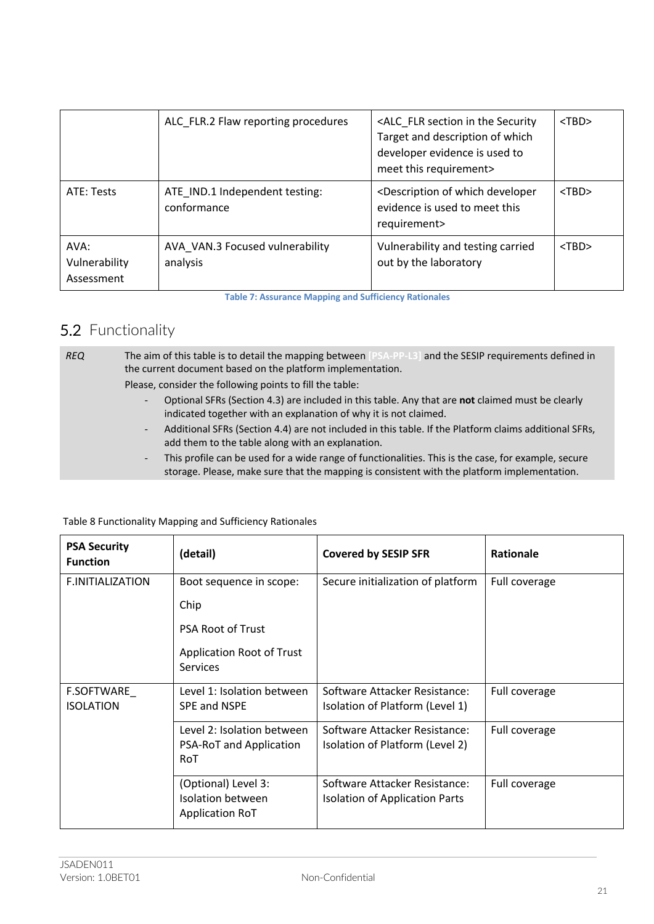|                                     | ALC_FLR.2 Flaw reporting procedures           | <alc_flr in="" section="" security<br="" the="">Target and description of which<br/>developer evidence is used to<br/>meet this requirement&gt;</alc_flr> | $<$ TBD $>$ |
|-------------------------------------|-----------------------------------------------|-----------------------------------------------------------------------------------------------------------------------------------------------------------|-------------|
| ATE: Tests                          | ATE IND.1 Independent testing:<br>conformance | <description developer<br="" of="" which="">evidence is used to meet this<br/>requirement&gt;</description>                                               | $<$ TBD $>$ |
| AVA:<br>Vulnerability<br>Assessment | AVA VAN.3 Focused vulnerability<br>analysis   | Vulnerability and testing carried<br>out by the laboratory                                                                                                | $<$ TBD $>$ |

**Table 7: Assurance Mapping and Sufficiency Rationales**

## 5.2 Functionality

*REQ* The aim of this table is to detail the mapping between **[PSA-PP-L3]** and the SESIP requirements defined in the current document based on the platform implementation.

Please, consider the following points to fill the table:

- Optional SFRs (Section 4.3) are included in this table. Any that are **not** claimed must be clearly indicated together with an explanation of why it is not claimed.
- Additional SFRs (Section 4.4) are not included in this table. If the Platform claims additional SFRs, add them to the table along with an explanation.
- This profile can be used for a wide range of functionalities. This is the case, for example, secure storage. Please, make sure that the mapping is consistent with the platform implementation.

| <b>PSA Security</b><br><b>Function</b> | (detail)                                                           | <b>Covered by SESIP SFR</b>                                      | Rationale     |
|----------------------------------------|--------------------------------------------------------------------|------------------------------------------------------------------|---------------|
| <b>F.INITIALIZATION</b>                | Boot sequence in scope:                                            | Secure initialization of platform                                | Full coverage |
|                                        | Chip                                                               |                                                                  |               |
|                                        | PSA Root of Trust                                                  |                                                                  |               |
|                                        | Application Root of Trust<br>Services                              |                                                                  |               |
| <b>F.SOFTWARE</b><br><b>ISOLATION</b>  | Level 1: Isolation between<br>SPE and NSPE                         | Software Attacker Resistance:<br>Isolation of Platform (Level 1) | Full coverage |
|                                        | Level 2: Isolation between<br>PSA-RoT and Application<br>RoT       | Software Attacker Resistance:<br>Isolation of Platform (Level 2) | Full coverage |
|                                        | (Optional) Level 3:<br>Isolation between<br><b>Application RoT</b> | Software Attacker Resistance:<br>Isolation of Application Parts  | Full coverage |

#### Table 8 Functionality Mapping and Sufficiency Rationales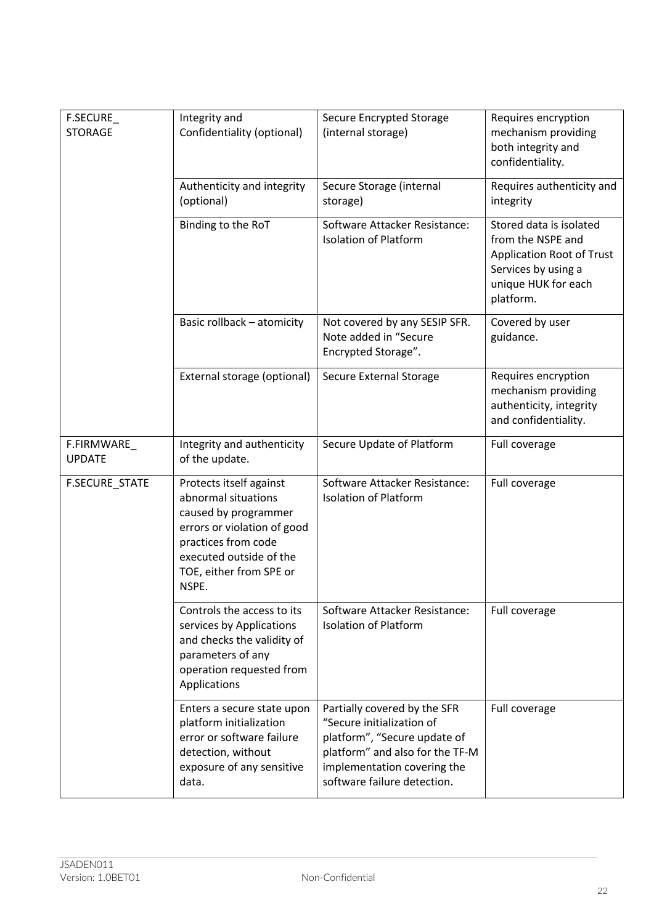| F.SECURE<br><b>STORAGE</b>  | Integrity and<br>Confidentiality (optional)                                                                                                                                                 | <b>Secure Encrypted Storage</b><br>(internal storage)                                                                                                                                      | Requires encryption<br>mechanism providing<br>both integrity and<br>confidentiality.                                                        |
|-----------------------------|---------------------------------------------------------------------------------------------------------------------------------------------------------------------------------------------|--------------------------------------------------------------------------------------------------------------------------------------------------------------------------------------------|---------------------------------------------------------------------------------------------------------------------------------------------|
|                             | Authenticity and integrity<br>(optional)                                                                                                                                                    | Secure Storage (internal<br>storage)                                                                                                                                                       | Requires authenticity and<br>integrity                                                                                                      |
|                             | Binding to the RoT                                                                                                                                                                          | Software Attacker Resistance:<br><b>Isolation of Platform</b>                                                                                                                              | Stored data is isolated<br>from the NSPE and<br><b>Application Root of Trust</b><br>Services by using a<br>unique HUK for each<br>platform. |
|                             | Basic rollback - atomicity                                                                                                                                                                  | Not covered by any SESIP SFR.<br>Note added in "Secure<br>Encrypted Storage".                                                                                                              | Covered by user<br>guidance.                                                                                                                |
|                             | External storage (optional)                                                                                                                                                                 | <b>Secure External Storage</b>                                                                                                                                                             | Requires encryption<br>mechanism providing<br>authenticity, integrity<br>and confidentiality.                                               |
| F.FIRMWARE<br><b>UPDATE</b> | Integrity and authenticity<br>of the update.                                                                                                                                                | Secure Update of Platform                                                                                                                                                                  | Full coverage                                                                                                                               |
| F.SECURE_STATE              | Protects itself against<br>abnormal situations<br>caused by programmer<br>errors or violation of good<br>practices from code<br>executed outside of the<br>TOE, either from SPE or<br>NSPE. | Software Attacker Resistance:<br><b>Isolation of Platform</b>                                                                                                                              | Full coverage                                                                                                                               |
|                             | Controls the access to its<br>services by Applications<br>and checks the validity of<br>parameters of any<br>operation requested from<br>Applications                                       | Software Attacker Resistance:<br><b>Isolation of Platform</b>                                                                                                                              | Full coverage                                                                                                                               |
|                             | Enters a secure state upon<br>platform initialization<br>error or software failure<br>detection, without<br>exposure of any sensitive<br>data.                                              | Partially covered by the SFR<br>"Secure initialization of<br>platform", "Secure update of<br>platform" and also for the TF-M<br>implementation covering the<br>software failure detection. | Full coverage                                                                                                                               |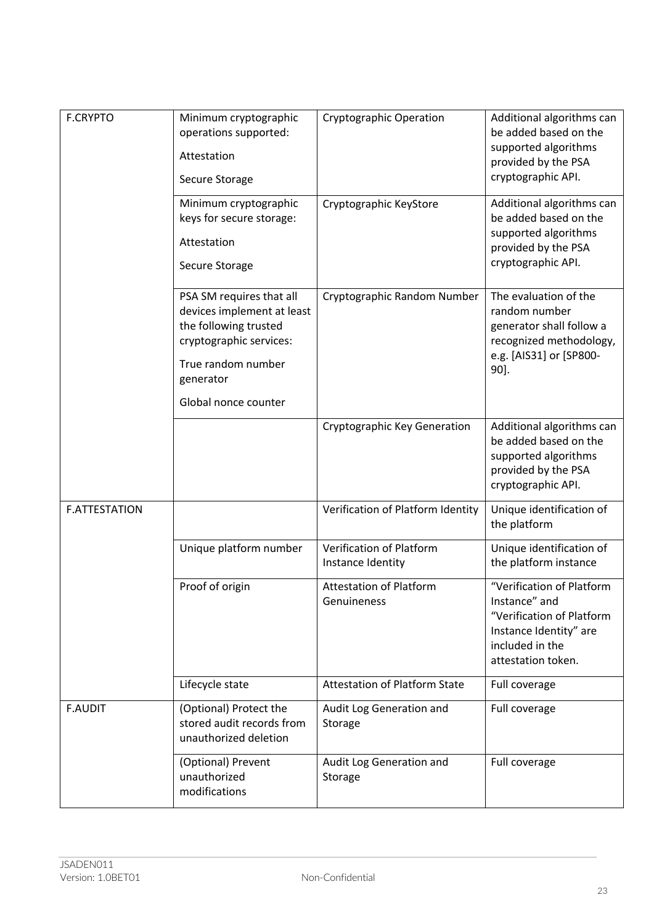| <b>F.CRYPTO</b>      | Minimum cryptographic<br>operations supported:<br>Attestation<br>Secure Storage<br>Minimum cryptographic                                      | <b>Cryptographic Operation</b><br>Cryptographic KeyStore | Additional algorithms can<br>be added based on the<br>supported algorithms<br>provided by the PSA<br>cryptographic API.<br>Additional algorithms can |
|----------------------|-----------------------------------------------------------------------------------------------------------------------------------------------|----------------------------------------------------------|------------------------------------------------------------------------------------------------------------------------------------------------------|
|                      | keys for secure storage:<br>Attestation<br>Secure Storage                                                                                     |                                                          | be added based on the<br>supported algorithms<br>provided by the PSA<br>cryptographic API.                                                           |
|                      | PSA SM requires that all<br>devices implement at least<br>the following trusted<br>cryptographic services:<br>True random number<br>generator | Cryptographic Random Number                              | The evaluation of the<br>random number<br>generator shall follow a<br>recognized methodology,<br>e.g. [AIS31] or [SP800-<br>90].                     |
|                      | Global nonce counter                                                                                                                          |                                                          |                                                                                                                                                      |
|                      |                                                                                                                                               | Cryptographic Key Generation                             | Additional algorithms can<br>be added based on the<br>supported algorithms<br>provided by the PSA<br>cryptographic API.                              |
| <b>F.ATTESTATION</b> |                                                                                                                                               | Verification of Platform Identity                        | Unique identification of<br>the platform                                                                                                             |
|                      | Unique platform number                                                                                                                        | Verification of Platform<br>Instance Identity            | Unique identification of<br>the platform instance                                                                                                    |
|                      | Proof of origin                                                                                                                               | <b>Attestation of Platform</b><br>Genuineness            | "Verification of Platform<br>Instance" and<br>"Verification of Platform<br>Instance Identity" are<br>included in the<br>attestation token.           |
|                      | Lifecycle state                                                                                                                               | <b>Attestation of Platform State</b>                     | Full coverage                                                                                                                                        |
| <b>F.AUDIT</b>       | (Optional) Protect the<br>stored audit records from<br>unauthorized deletion                                                                  | Audit Log Generation and<br>Storage                      | Full coverage                                                                                                                                        |
|                      | (Optional) Prevent<br>unauthorized<br>modifications                                                                                           | Audit Log Generation and<br>Storage                      | Full coverage                                                                                                                                        |